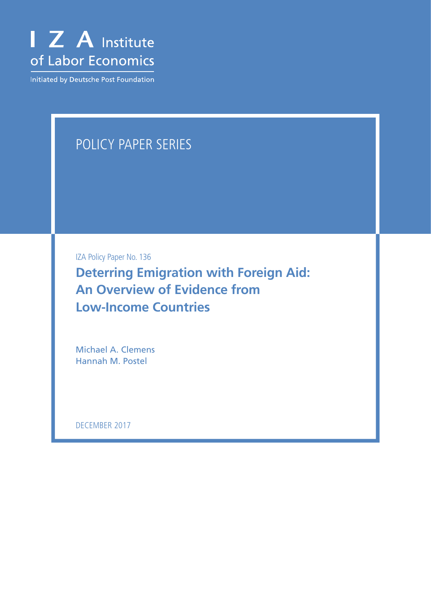

Initiated by Deutsche Post Foundation

## POLICY PAPER SERIES

IZA Policy Paper No. 136

**Deterring Emigration with Foreign Aid: An Overview of Evidence from Low-Income Countries**

Michael A. Clemens Hannah M. Postel

DECEMBER 2017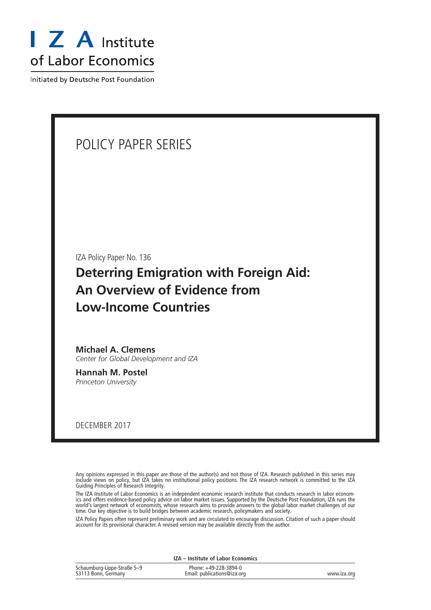

Initiated by Deutsche Post Foundation

## POLICY PAPER SERIES

IZA Policy Paper No. 136

## **Deterring Emigration with Foreign Aid: An Overview of Evidence from Low-Income Countries**

**Michael A. Clemens** *Center for Global Development and IZA*

**Hannah M. Postel** *Princeton University*

DECEMBER 2017

Any opinions expressed in this paper are those of the author(s) and not those of IZA. Research published in this series may include views on policy, but IZA takes no institutional policy positions. The IZA research network is committed to the IZA Guiding Principles of Research Integrity.

The IZA Institute of Labor Economics is an independent economic research institute that conducts research in labor economics and offers evidence-based policy advice on labor market issues. Supported by the Deutsche Post Foundation, IZA runs the world's largest network of economists, whose research aims to provide answers to the global labor market challenges of our time. Our key objective is to build bridges between academic research, policymakers and society.

IZA Policy Papers often represent preliminary work and are circulated to encourage discussion. Citation of such a paper should account for its provisional character. A revised version may be available directly from the author.

| IZA – Institute of Labor Economics |                             |             |
|------------------------------------|-----------------------------|-------------|
| Schaumburg-Lippe-Straße 5-9        | Phone: +49-228-3894-0       |             |
| 53113 Bonn, Germany                | Email: publications@iza.org | www.iza.org |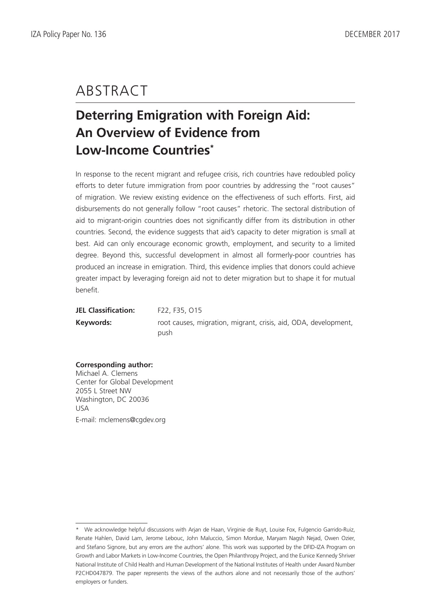# ABSTRACT

## **Deterring Emigration with Foreign Aid: An Overview of Evidence from Low-Income Countries\***

In response to the recent migrant and refugee crisis, rich countries have redoubled policy efforts to deter future immigration from poor countries by addressing the "root causes" of migration. We review existing evidence on the effectiveness of such efforts. First, aid disbursements do not generally follow "root causes" rhetoric. The sectoral distribution of aid to migrant-origin countries does not significantly differ from its distribution in other countries. Second, the evidence suggests that aid's capacity to deter migration is small at best. Aid can only encourage economic growth, employment, and security to a limited degree. Beyond this, successful development in almost all formerly-poor countries has produced an increase in emigration. Third, this evidence implies that donors could achieve greater impact by leveraging foreign aid not to deter migration but to shape it for mutual benefit.

JEL Classification: F22, F35, 015 **Keywords:** root causes, migration, migrant, crisis, aid, ODA, development, push

## **Corresponding author:**

Michael A. Clemens Center for Global Development 2055 L Street NW Washington, DC 20036 USA E-mail: mclemens@cgdev.org

<sup>\*</sup> We acknowledge helpful discussions with Arjan de Haan, Virginie de Ruyt, Louise Fox, Fulgencio Garrido-Ruiz, Renate Hahlen, David Lam, Jerome Lebouc, John Maluccio, Simon Mordue, Maryam Nagsh Nejad, Owen Ozier, and Stefano Signore, but any errors are the authors' alone. This work was supported by the DFID-IZA Program on Growth and Labor Markets in Low-Income Countries, the Open Philanthropy Project, and the Eunice Kennedy Shriver National Institute of Child Health and Human Development of the National Institutes of Health under Award Number P2CHD047879. The paper represents the views of the authors alone and not necessarily those of the authors' employers or funders.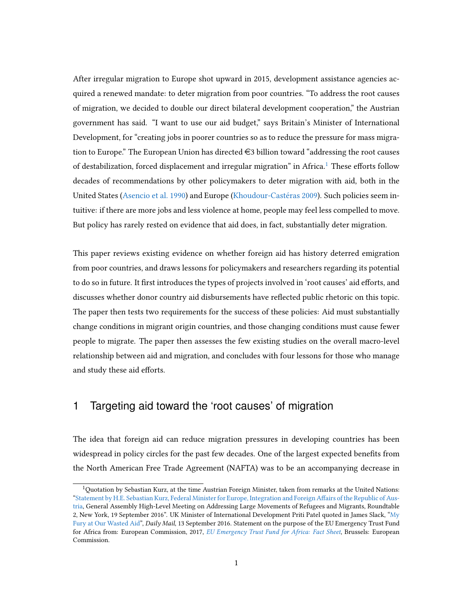After irregular migration to Europe shot upward in 2015, development assistance agencies acquired a renewed mandate: to deter migration from poor countries. "To address the root causes of migration, we decided to double our direct bilateral development cooperation," the Austrian government has said. "I want to use our aid budget," says Britain's Minister of International Development, for "creating jobs in poorer countries so as to reduce the pressure for mass migration to Europe." The European Union has directed  $\in$ 3 billion toward "addressing the root causes" of destabilization, forced displacement and irregular migration" in Africa.<sup>[1](#page-3-0)</sup> These efforts follow decades of recommendations by other policymakers to deter migration with aid, both in the United States [\(Asencio et al.](#page-21-0) [1990\)](#page-21-0) and Europe [\(Khoudour-Castéras](#page-23-0) [2009\)](#page-23-0). Such policies seem intuitive: if there are more jobs and less violence at home, people may feel less compelled to move. But policy has rarely rested on evidence that aid does, in fact, substantially deter migration.

This paper reviews existing evidence on whether foreign aid has history deterred emigration from poor countries, and draws lessons for policymakers and researchers regarding its potential to do so in future. It first introduces the types of projects involved in 'root causes' aid efforts, and discusses whether donor country aid disbursements have reflected public rhetoric on this topic. The paper then tests two requirements for the success of these policies: Aid must substantially change conditions in migrant origin countries, and those changing conditions must cause fewer people to migrate. The paper then assesses the few existing studies on the overall macro-level relationship between aid and migration, and concludes with four lessons for those who manage and study these aid efforts.

### 1 Targeting aid toward the 'root causes' of migration

The idea that foreign aid can reduce migration pressures in developing countries has been widespread in policy circles for the past few decades. One of the largest expected benefits from the North American Free Trade Agreement (NAFTA) was to be an accompanying decrease in

<span id="page-3-0"></span><sup>1</sup>Quotation by Sebastian Kurz, at the time Austrian Foreign Minister, taken from remarks at the United Nations: "Statement by H.E. Sebastian Kurz, Federal Minister for Europe, Integration and Foreign Affairs of the Republic of Aus[tria,](http://statements.unmeetings.org/media2/7660679/austria.pdf) General Assembly High-Level Meeting on Addressing Large Movements of Refugees and Migrants, Roundtable 2, New York, 19 September 2016". UK Minister of International Development Priti Patel quoted in James Slack, ["My](http://www.dailymail.co.uk/news/article-3788162/My-fury-wasted-foreign-aid-International-development-secretary-Priti-Patel-pledges-major-overhaul-12billion-budget.html) [Fury at Our Wasted Aid"](http://www.dailymail.co.uk/news/article-3788162/My-fury-wasted-foreign-aid-International-development-secretary-Priti-Patel-pledges-major-overhaul-12billion-budget.html), Daily Mail, 13 September 2016. Statement on the purpose of the EU Emergency Trust Fund for Africa from: European Commission, 2017, [EU Emergency Trust Fund for Africa: Fact Sheet](https://ec.europa.eu/europeaid/sites/devco/files/factsheet-emergency-trust-fund-africa-2017_en.pdf), Brussels: European Commission.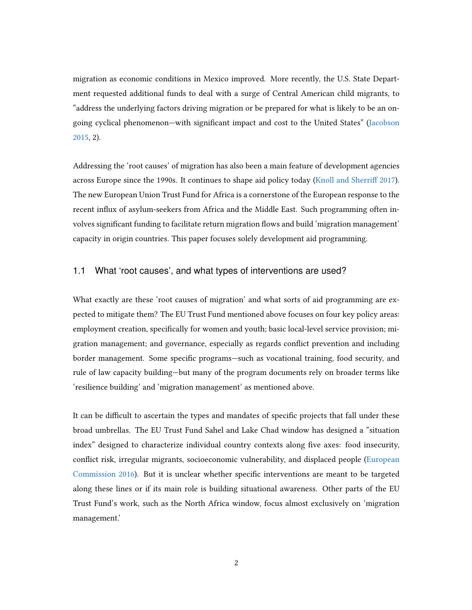migration as economic conditions in Mexico improved. More recently, the U.S. State Department requested additional funds to deal with a surge of Central American child migrants, to "address the underlying factors driving migration or be prepared for what is likely to be an ongoing cyclical phenomenon—with signicant impact and cost to the United States" [\(Jacobson](#page-23-1) [2015,](#page-23-1) 2).

Addressing the 'root causes' of migration has also been a main feature of development agencies across Europe since the 1990s. It continues to shape aid policy today [\(Knoll and Sherri](#page-23-2)ff [2017\)](#page-23-2). The new European Union Trust Fund for Africa is a cornerstone of the European response to the recent influx of asylum-seekers from Africa and the Middle East. Such programming often involves significant funding to facilitate return migration flows and build 'migration management' capacity in origin countries. This paper focuses solely development aid programming.

#### 1.1 What 'root causes', and what types of interventions are used?

What exactly are these 'root causes of migration' and what sorts of aid programming are expected to mitigate them? The EU Trust Fund mentioned above focuses on four key policy areas: employment creation, specifically for women and youth; basic local-level service provision; migration management; and governance, especially as regards conflict prevention and including border management. Some specific programs—such as vocational training, food security, and rule of law capacity building—but many of the program documents rely on broader terms like 'resilience building' and 'migration management' as mentioned above.

It can be difficult to ascertain the types and mandates of specific projects that fall under these broad umbrellas. The EU Trust Fund Sahel and Lake Chad window has designed a "situation index" designed to characterize individual country contexts along five axes: food insecurity, conflict risk, irregular migrants, socioeconomic vulnerability, and displaced people [\(European](#page-22-0) [Commission](#page-22-0) [2016\)](#page-22-0). But it is unclear whether specific interventions are meant to be targeted along these lines or if its main role is building situational awareness. Other parts of the EU Trust Fund's work, such as the North Africa window, focus almost exclusively on 'migration management.'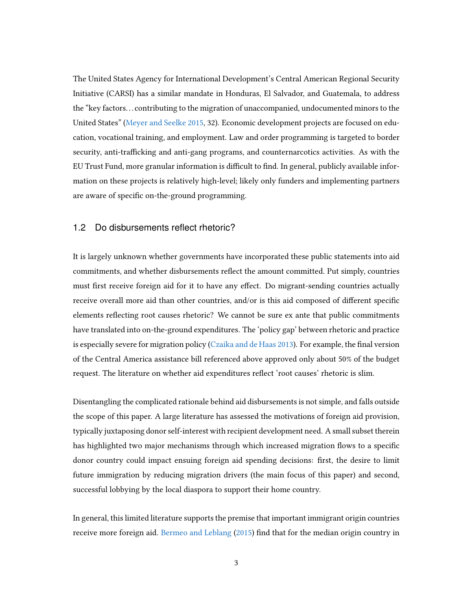The United States Agency for International Development's Central American Regional Security Initiative (CARSI) has a similar mandate in Honduras, El Salvador, and Guatemala, to address the "key factors. . . contributing to the migration of unaccompanied, undocumented minors to the United States" [\(Meyer and Seelke](#page-23-3) [2015,](#page-23-3) 32). Economic development projects are focused on education, vocational training, and employment. Law and order programming is targeted to border security, anti-trafficking and anti-gang programs, and counternarcotics activities. As with the EU Trust Fund, more granular information is difficult to find. In general, publicly available information on these projects is relatively high-level; likely only funders and implementing partners are aware of specific on-the-ground programming.

#### 1.2 Do disbursements reflect rhetoric?

It is largely unknown whether governments have incorporated these public statements into aid commitments, and whether disbursements reflect the amount committed. Put simply, countries must first receive foreign aid for it to have any effect. Do migrant-sending countries actually receive overall more aid than other countries, and/or is this aid composed of different specific elements reflecting root causes rhetoric? We cannot be sure ex ante that public commitments have translated into on-the-ground expenditures. The 'policy gap' between rhetoric and practice is especially severe for migration policy [\(Czaika and de Haas](#page-22-1) [2013\)](#page-22-1). For example, the final version of the Central America assistance bill referenced above approved only about 50% of the budget request. The literature on whether aid expenditures reflect 'root causes' rhetoric is slim.

Disentangling the complicated rationale behind aid disbursements is not simple, and falls outside the scope of this paper. A large literature has assessed the motivations of foreign aid provision, typically juxtaposing donor self-interest with recipient development need. A small subset therein has highlighted two major mechanisms through which increased migration flows to a specific donor country could impact ensuing foreign aid spending decisions: first, the desire to limit future immigration by reducing migration drivers (the main focus of this paper) and second, successful lobbying by the local diaspora to support their home country.

In general, this limited literature supports the premise that important immigrant origin countries receive more foreign aid. [Bermeo and Leblang](#page-21-1) [\(2015\)](#page-21-1) find that for the median origin country in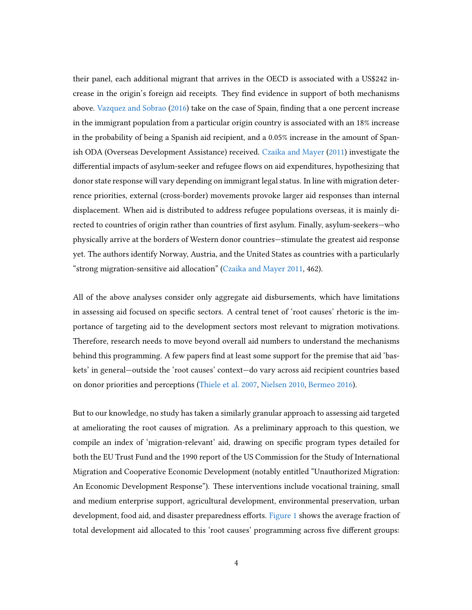their panel, each additional migrant that arrives in the OECD is associated with a US\$242 increase in the origin's foreign aid receipts. They find evidence in support of both mechanisms above. [Vazquez and Sobrao](#page-24-0) [\(2016\)](#page-24-0) take on the case of Spain, finding that a one percent increase in the immigrant population from a particular origin country is associated with an 18% increase in the probability of being a Spanish aid recipient, and a 0.05% increase in the amount of Spanish ODA (Overseas Development Assistance) received. [Czaika and Mayer](#page-22-2) [\(2011\)](#page-22-2) investigate the differential impacts of asylum-seeker and refugee flows on aid expenditures, hypothesizing that donor state response will vary depending on immigrant legal status. In line with migration deterrence priorities, external (cross-border) movements provoke larger aid responses than internal displacement. When aid is distributed to address refugee populations overseas, it is mainly directed to countries of origin rather than countries of first asylum. Finally, asylum-seekers—who physically arrive at the borders of Western donor countries—stimulate the greatest aid response yet. The authors identify Norway, Austria, and the United States as countries with a particularly "strong migration-sensitive aid allocation" [\(Czaika and Mayer](#page-22-2) [2011,](#page-22-2) 462).

All of the above analyses consider only aggregate aid disbursements, which have limitations in assessing aid focused on specific sectors. A central tenet of 'root causes' rhetoric is the importance of targeting aid to the development sectors most relevant to migration motivations. Therefore, research needs to move beyond overall aid numbers to understand the mechanisms behind this programming. A few papers find at least some support for the premise that aid 'baskets' in general—outside the 'root causes' context—do vary across aid recipient countries based on donor priorities and perceptions [\(Thiele et al.](#page-24-1) [2007,](#page-24-1) [Nielsen](#page-23-4) [2010,](#page-23-4) [Bermeo](#page-21-2) [2016\)](#page-21-2).

But to our knowledge, no study has taken a similarly granular approach to assessing aid targeted at ameliorating the root causes of migration. As a preliminary approach to this question, we compile an index of 'migration-relevant' aid, drawing on specific program types detailed for both the EU Trust Fund and the 1990 report of the US Commission for the Study of International Migration and Cooperative Economic Development (notably entitled "Unauthorized Migration: An Economic Development Response"). These interventions include vocational training, small and medium enterprise support, agricultural development, environmental preservation, urban development, food aid, and disaster preparedness efforts. [Figure 1](#page-25-0) shows the average fraction of total development aid allocated to this 'root causes' programming across five different groups: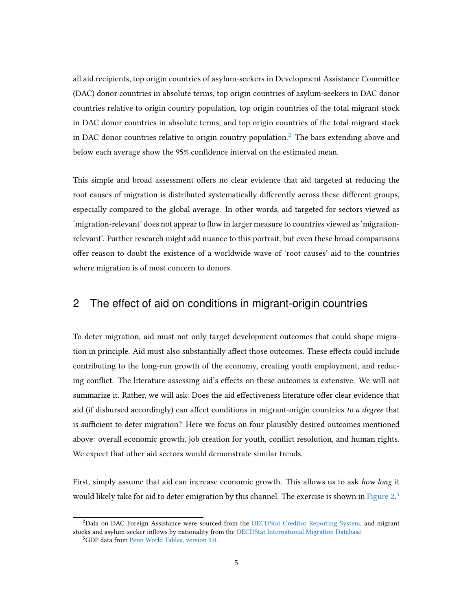all aid recipients, top origin countries of asylum-seekers in Development Assistance Committee (DAC) donor countries in absolute terms, top origin countries of asylum-seekers in DAC donor countries relative to origin country population, top origin countries of the total migrant stock in DAC donor countries in absolute terms, and top origin countries of the total migrant stock in DAC donor countries relative to origin country population.<sup>[2](#page-7-0)</sup> The bars extending above and below each average show the 95% confidence interval on the estimated mean.

This simple and broad assessment offers no clear evidence that aid targeted at reducing the root causes of migration is distributed systematically differently across these different groups, especially compared to the global average. In other words, aid targeted for sectors viewed as 'migration-relevant' does not appear to flow in larger measure to countries viewed as 'migrationrelevant'. Further research might add nuance to this portrait, but even these broad comparisons offer reason to doubt the existence of a worldwide wave of 'root causes' aid to the countries where migration is of most concern to donors.

### 2 The effect of aid on conditions in migrant-origin countries

To deter migration, aid must not only target development outcomes that could shape migration in principle. Aid must also substantially affect those outcomes. These effects could include contributing to the long-run growth of the economy, creating youth employment, and reducing conflict. The literature assessing aid's effects on these outcomes is extensive. We will not summarize it. Rather, we will ask: Does the aid effectiveness literature offer clear evidence that aid (if disbursed accordingly) can affect conditions in migrant-origin countries to a degree that is sufficient to deter migration? Here we focus on four plausibly desired outcomes mentioned above: overall economic growth, job creation for youth, conflict resolution, and human rights. We expect that other aid sectors would demonstrate similar trends.

First, simply assume that aid can increase economic growth. This allows us to ask how long it would likely take for aid to deter emigration by this channel. The exercise is shown in Figure  $2.3$  $2.3$ 

<span id="page-7-0"></span><sup>&</sup>lt;sup>2</sup>Data on DAC Foreign Assistance were sourced from the [OECDStat Creditor Reporting System,](https://stats.oecd.org/Index.aspx?DataSetCode=CRS1) and migrant stocks and asylum-seeker inflows by nationality from the [OECDStat International Migration Database.](https://stats.oecd.org/Index.aspx?DataSetCode=MIG)

<span id="page-7-1"></span><sup>3</sup>GDP data from [Penn World Tables, version 9.0.](http://www.rug.nl/ggdc/productivity/pwt/)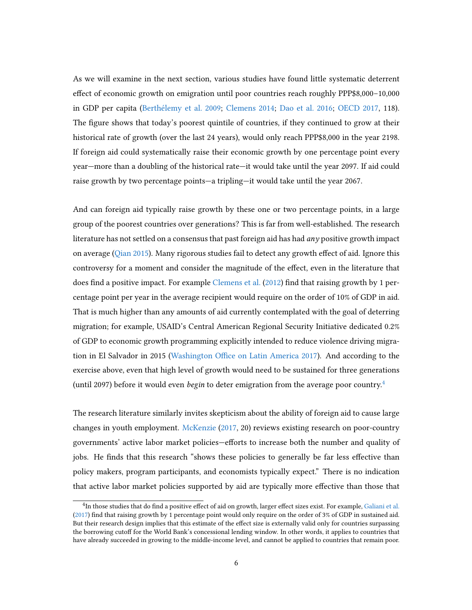As we will examine in the next section, various studies have found little systematic deterrent effect of economic growth on emigration until poor countries reach roughly PPP\$8,000–10,000 in GDP per capita [\(Berthélemy et al.](#page-21-3) [2009;](#page-21-3) [Clemens](#page-21-4) [2014;](#page-21-4) [Dao et al.](#page-22-3) [2016;](#page-22-3) [OECD](#page-23-5) [2017,](#page-23-5) 118). The figure shows that today's poorest quintile of countries, if they continued to grow at their historical rate of growth (over the last 24 years), would only reach PPP\$8,000 in the year 2198. If foreign aid could systematically raise their economic growth by one percentage point every year—more than a doubling of the historical rate—it would take until the year 2097. If aid could raise growth by two percentage points—a tripling—it would take until the year 2067.

And can foreign aid typically raise growth by these one or two percentage points, in a large group of the poorest countries over generations? This is far from well-established. The research literature has not settled on a consensus that past foreign aid has had *any* positive growth impact on average ( $Qian 2015$ ). Many rigorous studies fail to detect any growth effect of aid. Ignore this controversy for a moment and consider the magnitude of the effect, even in the literature that does find a positive impact. For example [Clemens et al.](#page-22-4)  $(2012)$  find that raising growth by 1 percentage point per year in the average recipient would require on the order of 10% of GDP in aid. That is much higher than any amounts of aid currently contemplated with the goal of deterring migration; for example, USAID's Central American Regional Security Initiative dedicated 0.2% of GDP to economic growth programming explicitly intended to reduce violence driving migra-tion in El Salvador in 2015 (Washington Office on Latin America [2017\)](#page-24-2). And according to the exercise above, even that high level of growth would need to be sustained for three generations (until 2097) before it would even *begin* to deter emigration from the average poor country.<sup>[4](#page-8-0)</sup>

The research literature similarly invites skepticism about the ability of foreign aid to cause large changes in youth employment. [McKenzie](#page-23-7) [\(2017,](#page-23-7) 20) reviews existing research on poor-country governments' active labor market policies—efforts to increase both the number and quality of jobs. He finds that this research "shows these policies to generally be far less effective than policy makers, program participants, and economists typically expect." There is no indication that active labor market policies supported by aid are typically more effective than those that

<span id="page-8-0"></span> $^4$ In those studies that do find a positive effect of aid on growth, larger effect sizes exist. For example, [Galiani et al.](#page-22-5) [\(2017\)](#page-22-5) find that raising growth by 1 percentage point would only require on the order of 3% of GDP in sustained aid. But their research design implies that this estimate of the effect size is externally valid only for countries surpassing the borrowing cutoff for the World Bank's concessional lending window. In other words, it applies to countries that have already succeeded in growing to the middle-income level, and cannot be applied to countries that remain poor.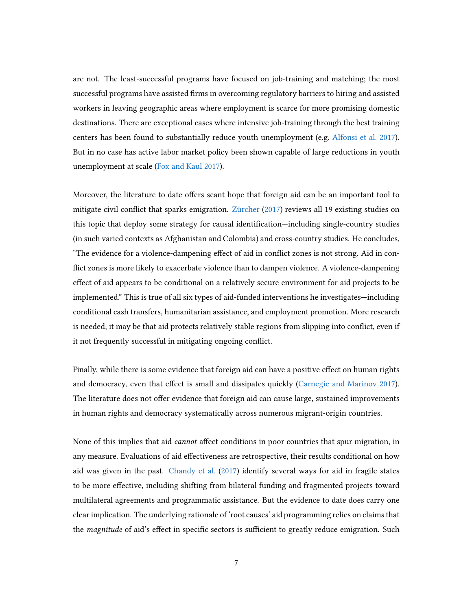are not. The least-successful programs have focused on job-training and matching; the most successful programs have assisted firms in overcoming regulatory barriers to hiring and assisted workers in leaving geographic areas where employment is scarce for more promising domestic destinations. There are exceptional cases where intensive job-training through the best training centers has been found to substantially reduce youth unemployment (e.g. [Alfonsi et al.](#page-21-5) [2017\)](#page-21-5). But in no case has active labor market policy been shown capable of large reductions in youth unemployment at scale [\(Fox and Kaul](#page-22-6) [2017\)](#page-22-6).

Moreover, the literature to date offers scant hope that foreign aid can be an important tool to mitigate civil conflict that sparks emigration. [Zürcher](#page-24-3)  $(2017)$  reviews all 19 existing studies on this topic that deploy some strategy for causal identification—including single-country studies (in such varied contexts as Afghanistan and Colombia) and cross-country studies. He concludes, "The evidence for a violence-dampening effect of aid in conflict zones is not strong. Aid in conflict zones is more likely to exacerbate violence than to dampen violence. A violence-dampening effect of aid appears to be conditional on a relatively secure environment for aid projects to be implemented." This is true of all six types of aid-funded interventions he investigates—including conditional cash transfers, humanitarian assistance, and employment promotion. More research is needed; it may be that aid protects relatively stable regions from slipping into conflict, even if it not frequently successful in mitigating ongoing conflict.

Finally, while there is some evidence that foreign aid can have a positive effect on human rights and democracy, even that effect is small and dissipates quickly [\(Carnegie and Marinov](#page-21-6) [2017\)](#page-21-6). The literature does not offer evidence that foreign aid can cause large, sustained improvements in human rights and democracy systematically across numerous migrant-origin countries.

None of this implies that aid *cannot* affect conditions in poor countries that spur migration, in any measure. Evaluations of aid effectiveness are retrospective, their results conditional on how aid was given in the past. [Chandy et al.](#page-21-7) [\(2017\)](#page-21-7) identify several ways for aid in fragile states to be more effective, including shifting from bilateral funding and fragmented projects toward multilateral agreements and programmatic assistance. But the evidence to date does carry one clear implication. The underlying rationale of 'root causes' aid programming relies on claims that the *magnitude* of aid's effect in specific sectors is sufficient to greatly reduce emigration. Such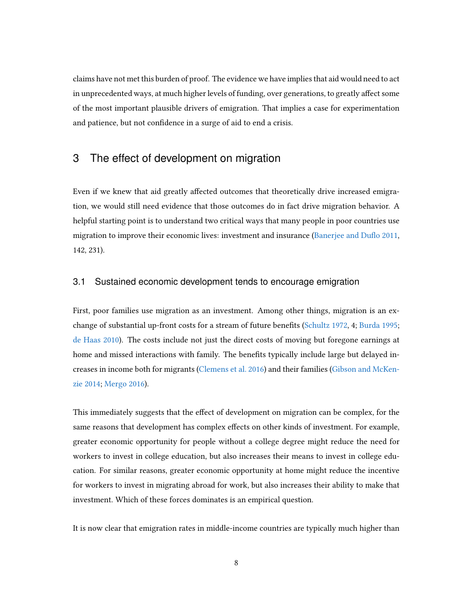claims have not met this burden of proof. The evidence we have implies that aid would need to act in unprecedented ways, at much higher levels of funding, over generations, to greatly affect some of the most important plausible drivers of emigration. That implies a case for experimentation and patience, but not confidence in a surge of aid to end a crisis.

### 3 The effect of development on migration

Even if we knew that aid greatly affected outcomes that theoretically drive increased emigration, we would still need evidence that those outcomes do in fact drive migration behavior. A helpful starting point is to understand two critical ways that many people in poor countries use migration to improve their economic lives: investment and insurance (Banerjee and Duflo [2011,](#page-21-8) 142, 231).

#### 3.1 Sustained economic development tends to encourage emigration

First, poor families use migration as an investment. Among other things, migration is an exchange of substantial up-front costs for a stream of future benets [\(Schultz](#page-23-8) [1972,](#page-23-8) 4; [Burda](#page-21-9) [1995;](#page-21-9) [de Haas](#page-22-7) [2010\)](#page-22-7). The costs include not just the direct costs of moving but foregone earnings at home and missed interactions with family. The benefits typically include large but delayed increases in income both for migrants [\(Clemens et al.](#page-22-8) [2016\)](#page-22-8) and their families [\(Gibson and McKen](#page-22-9)[zie](#page-22-9) [2014;](#page-22-9) [Mergo](#page-23-9) [2016\)](#page-23-9).

This immediately suggests that the effect of development on migration can be complex, for the same reasons that development has complex effects on other kinds of investment. For example, greater economic opportunity for people without a college degree might reduce the need for workers to invest in college education, but also increases their means to invest in college education. For similar reasons, greater economic opportunity at home might reduce the incentive for workers to invest in migrating abroad for work, but also increases their ability to make that investment. Which of these forces dominates is an empirical question.

It is now clear that emigration rates in middle-income countries are typically much higher than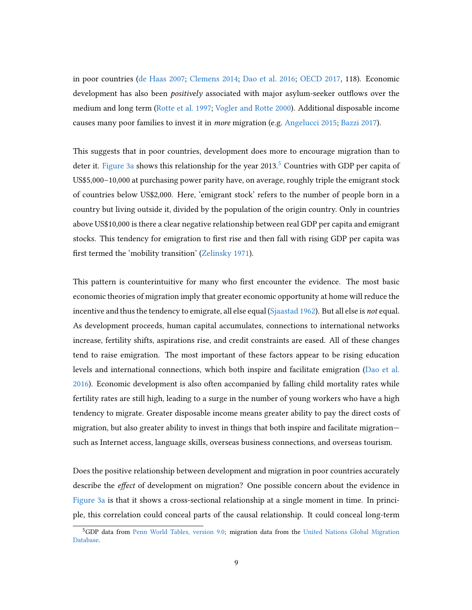in poor countries [\(de Haas](#page-22-10) [2007;](#page-22-10) [Clemens](#page-21-4) [2014;](#page-21-4) [Dao et al.](#page-22-3) [2016;](#page-22-3) [OECD](#page-23-5) [2017,](#page-23-5) 118). Economic development has also been *positively* associated with major asylum-seeker outflows over the medium and long term [\(Rotte et al.](#page-23-10) [1997;](#page-23-10) [Vogler and Rotte](#page-24-4) [2000\)](#page-24-4). Additional disposable income causes many poor families to invest it in more migration (e.g. [Angelucci](#page-21-10) [2015;](#page-21-10) [Bazzi](#page-21-11) [2017\)](#page-21-11).

This suggests that in poor countries, development does more to encourage migration than to deter it. [Figure 3a](#page-27-0) shows this relationship for the year  $2013<sup>5</sup>$  $2013<sup>5</sup>$  $2013<sup>5</sup>$  Countries with GDP per capita of US\$5,000–10,000 at purchasing power parity have, on average, roughly triple the emigrant stock of countries below US\$2,000. Here, 'emigrant stock' refers to the number of people born in a country but living outside it, divided by the population of the origin country. Only in countries above US\$10,000 is there a clear negative relationship between real GDP per capita and emigrant stocks. This tendency for emigration to first rise and then fall with rising GDP per capita was first termed the 'mobility transition' [\(Zelinsky](#page-24-5) [1971\)](#page-24-5).

This pattern is counterintuitive for many who first encounter the evidence. The most basic economic theories of migration imply that greater economic opportunity at home will reduce the incentive and thus the tendency to emigrate, all else equal [\(Sjaastad](#page-24-6) [1962\)](#page-24-6). But all else is *not* equal. As development proceeds, human capital accumulates, connections to international networks increase, fertility shifts, aspirations rise, and credit constraints are eased. All of these changes tend to raise emigration. The most important of these factors appear to be rising education levels and international connections, which both inspire and facilitate emigration [\(Dao et al.](#page-22-3) [2016\)](#page-22-3). Economic development is also often accompanied by falling child mortality rates while fertility rates are still high, leading to a surge in the number of young workers who have a high tendency to migrate. Greater disposable income means greater ability to pay the direct costs of migration, but also greater ability to invest in things that both inspire and facilitate migration such as Internet access, language skills, overseas business connections, and overseas tourism.

Does the positive relationship between development and migration in poor countries accurately describe the *effect* of development on migration? One possible concern about the evidence in [Figure 3a](#page-27-0) is that it shows a cross-sectional relationship at a single moment in time. In principle, this correlation could conceal parts of the causal relationship. It could conceal long-term

<span id="page-11-0"></span><sup>5</sup>GDP data from [Penn World Tables, version 9.0;](http://www.rug.nl/ggdc/productivity/pwt/) migration data from the [United Nations Global Migration](http://www.un.org/en/development/desa/population/migration/data/estimates2/estimatestotal.shtml) [Database.](http://www.un.org/en/development/desa/population/migration/data/estimates2/estimatestotal.shtml)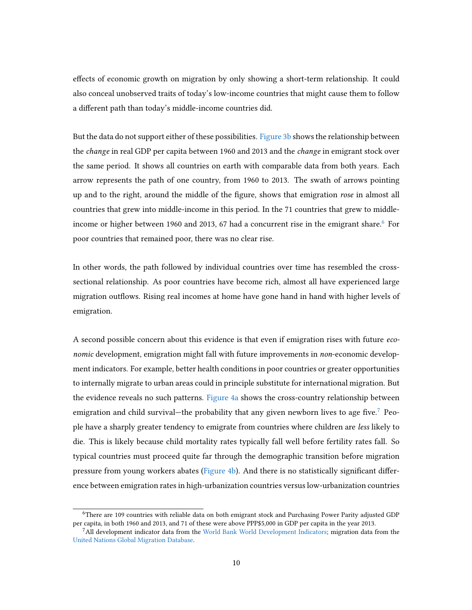effects of economic growth on migration by only showing a short-term relationship. It could also conceal unobserved traits of today's low-income countries that might cause them to follow a different path than today's middle-income countries did.

But the data do not support either of these possibilities. [Figure 3b](#page-27-0) shows the relationship between the change in real GDP per capita between 1960 and 2013 and the change in emigrant stock over the same period. It shows all countries on earth with comparable data from both years. Each arrow represents the path of one country, from 1960 to 2013. The swath of arrows pointing up and to the right, around the middle of the figure, shows that emigration rose in almost all countries that grew into middle-income in this period. In the 71 countries that grew to middle-income or higher between 19[6](#page-12-0)0 and 2013, 67 had a concurrent rise in the emigrant share. $6$  For poor countries that remained poor, there was no clear rise.

In other words, the path followed by individual countries over time has resembled the crosssectional relationship. As poor countries have become rich, almost all have experienced large migration outflows. Rising real incomes at home have gone hand in hand with higher levels of emigration.

A second possible concern about this evidence is that even if emigration rises with future economic development, emigration might fall with future improvements in non-economic development indicators. For example, better health conditions in poor countries or greater opportunities to internally migrate to urban areas could in principle substitute for international migration. But the evidence reveals no such patterns. [Figure 4a](#page-28-0) shows the cross-country relationship between emigration and child survival—the probability that any given newborn lives to age five.<sup>[7](#page-12-1)</sup> People have a sharply greater tendency to emigrate from countries where children are less likely to die. This is likely because child mortality rates typically fall well before fertility rates fall. So typical countries must proceed quite far through the demographic transition before migration pressure from young workers abates [\(Figure 4b\)](#page-28-0). And there is no statistically significant difference between emigration rates in high-urbanization countries versus low-urbanization countries

<span id="page-12-0"></span><sup>6</sup>There are 109 countries with reliable data on both emigrant stock and Purchasing Power Parity adjusted GDP per capita, in both 1960 and 2013, and 71 of these were above PPP\$5,000 in GDP per capita in the year 2013.

<span id="page-12-1"></span><sup>7</sup>All development indicator data from the [World Bank World Development Indicators;](https://data.worldbank.org/data-catalog/world-development-indicators) migration data from the [United Nations Global Migration Database.](http://www.un.org/en/development/desa/population/migration/data/estimates2/estimatestotal.shtml)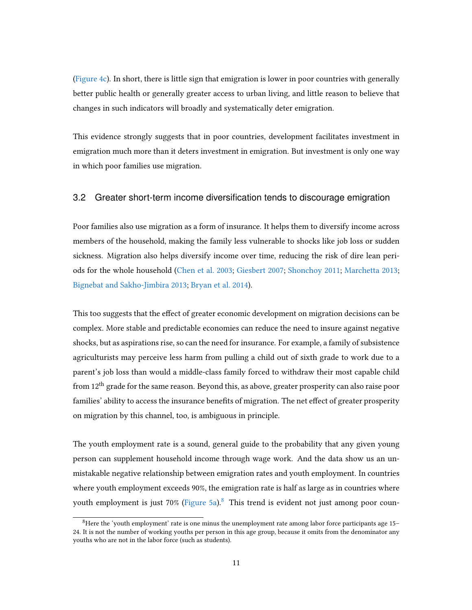[\(Figure 4c\)](#page-28-0). In short, there is little sign that emigration is lower in poor countries with generally better public health or generally greater access to urban living, and little reason to believe that changes in such indicators will broadly and systematically deter emigration.

This evidence strongly suggests that in poor countries, development facilitates investment in emigration much more than it deters investment in emigration. But investment is only one way in which poor families use migration.

#### 3.2 Greater short-term income diversification tends to discourage emigration

Poor families also use migration as a form of insurance. It helps them to diversify income across members of the household, making the family less vulnerable to shocks like job loss or sudden sickness. Migration also helps diversify income over time, reducing the risk of dire lean periods for the whole household [\(Chen et al.](#page-21-12) [2003;](#page-21-12) [Giesbert](#page-23-11) [2007;](#page-23-11) [Shonchoy](#page-24-7) [2011;](#page-24-7) [Marchetta](#page-23-12) [2013;](#page-23-12) [Bignebat and Sakho-Jimbira](#page-21-13) [2013;](#page-21-13) [Bryan et al.](#page-21-14) [2014\)](#page-21-14).

This too suggests that the effect of greater economic development on migration decisions can be complex. More stable and predictable economies can reduce the need to insure against negative shocks, but as aspirations rise, so can the need for insurance. For example, a family of subsistence agriculturists may perceive less harm from pulling a child out of sixth grade to work due to a parent's job loss than would a middle-class family forced to withdraw their most capable child from 12<sup>th</sup> grade for the same reason. Beyond this, as above, greater prosperity can also raise poor families' ability to access the insurance benefits of migration. The net effect of greater prosperity on migration by this channel, too, is ambiguous in principle.

The youth employment rate is a sound, general guide to the probability that any given young person can supplement household income through wage work. And the data show us an unmistakable negative relationship between emigration rates and youth employment. In countries where youth employment exceeds 90%, the emigration rate is half as large as in countries where youth employment is just 70% [\(Figure 5a\)](#page-29-0).<sup>[8](#page-13-0)</sup> This trend is evident not just among poor coun-

<span id="page-13-0"></span> ${}^{8}$ Here the 'youth employment' rate is one minus the unemployment rate among labor force participants age 15– 24. It is not the number of working youths per person in this age group, because it omits from the denominator any youths who are not in the labor force (such as students).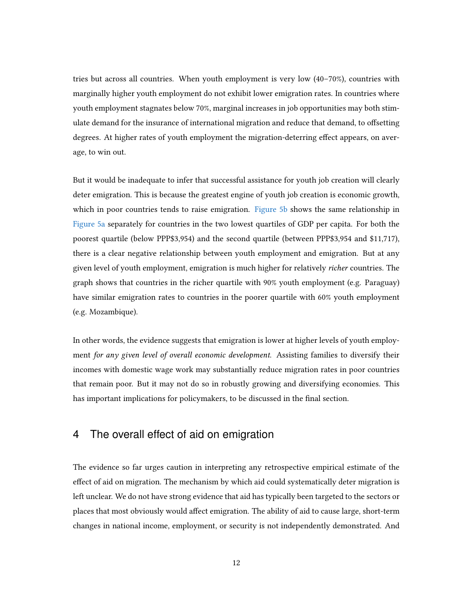tries but across all countries. When youth employment is very low (40–70%), countries with marginally higher youth employment do not exhibit lower emigration rates. In countries where youth employment stagnates below 70%, marginal increases in job opportunities may both stimulate demand for the insurance of international migration and reduce that demand, to offsetting degrees. At higher rates of youth employment the migration-deterring effect appears, on average, to win out.

But it would be inadequate to infer that successful assistance for youth job creation will clearly deter emigration. This is because the greatest engine of youth job creation is economic growth, which in poor countries tends to raise emigration. [Figure 5b](#page-29-0) shows the same relationship in [Figure 5a](#page-29-0) separately for countries in the two lowest quartiles of GDP per capita. For both the poorest quartile (below PPP\$3,954) and the second quartile (between PPP\$3,954 and \$11,717), there is a clear negative relationship between youth employment and emigration. But at any given level of youth employment, emigration is much higher for relatively richer countries. The graph shows that countries in the richer quartile with 90% youth employment (e.g. Paraguay) have similar emigration rates to countries in the poorer quartile with 60% youth employment (e.g. Mozambique).

In other words, the evidence suggests that emigration is lower at higher levels of youth employment for any given level of overall economic development. Assisting families to diversify their incomes with domestic wage work may substantially reduce migration rates in poor countries that remain poor. But it may not do so in robustly growing and diversifying economies. This has important implications for policymakers, to be discussed in the final section.

### 4 The overall effect of aid on emigration

The evidence so far urges caution in interpreting any retrospective empirical estimate of the effect of aid on migration. The mechanism by which aid could systematically deter migration is left unclear. We do not have strong evidence that aid has typically been targeted to the sectors or places that most obviously would affect emigration. The ability of aid to cause large, short-term changes in national income, employment, or security is not independently demonstrated. And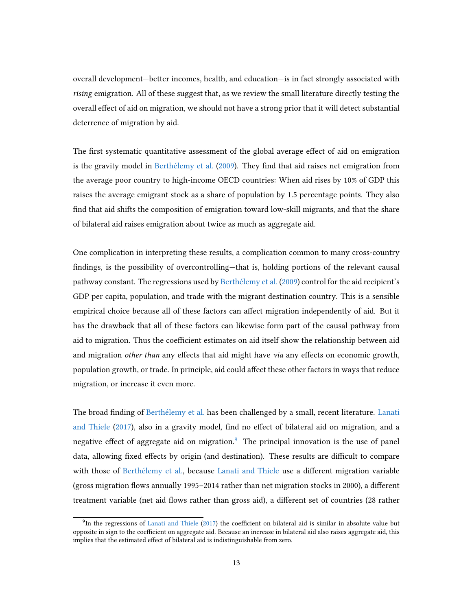overall development—better incomes, health, and education—is in fact strongly associated with rising emigration. All of these suggest that, as we review the small literature directly testing the overall effect of aid on migration, we should not have a strong prior that it will detect substantial deterrence of migration by aid.

The first systematic quantitative assessment of the global average effect of aid on emigration is the gravity model in [Berthélemy et al.](#page-21-3) [\(2009\)](#page-21-3). They find that aid raises net emigration from the average poor country to high-income OECD countries: When aid rises by 10% of GDP this raises the average emigrant stock as a share of population by 1.5 percentage points. They also find that aid shifts the composition of emigration toward low-skill migrants, and that the share of bilateral aid raises emigration about twice as much as aggregate aid.

One complication in interpreting these results, a complication common to many cross-country findings, is the possibility of overcontrolling—that is, holding portions of the relevant causal pathway constant. The regressions used by [Berthélemy et al.](#page-21-3) [\(2009\)](#page-21-3) control for the aid recipient's GDP per capita, population, and trade with the migrant destination country. This is a sensible empirical choice because all of these factors can affect migration independently of aid. But it has the drawback that all of these factors can likewise form part of the causal pathway from aid to migration. Thus the coefficient estimates on aid itself show the relationship between aid and migration *other than* any effects that aid might have *via* any effects on economic growth, population growth, or trade. In principle, aid could affect these other factors in ways that reduce migration, or increase it even more.

The broad finding of [Berthélemy et al.](#page-21-3) has been challenged by a small, recent literature. [Lanati](#page-23-13) [and Thiele](#page-23-13) [\(2017\)](#page-23-13), also in a gravity model, find no effect of bilateral aid on migration, and a negative effect of aggregate aid on migration.<sup>[9](#page-15-0)</sup> The principal innovation is the use of panel data, allowing fixed effects by origin (and destination). These results are difficult to compare with those of [Berthélemy et al.,](#page-21-3) because [Lanati and Thiele](#page-23-13) use a different migration variable (gross migration flows annually 1995–2014 rather than net migration stocks in 2000), a different treatment variable (net aid flows rather than gross aid), a different set of countries (28 rather

<span id="page-15-0"></span> $^{9}$ In the regressions of [Lanati and Thiele](#page-23-13) [\(2017\)](#page-23-13) the coefficient on bilateral aid is similar in absolute value but opposite in sign to the coefficient on aggregate aid. Because an increase in bilateral aid also raises aggregate aid, this implies that the estimated effect of bilateral aid is indistinguishable from zero.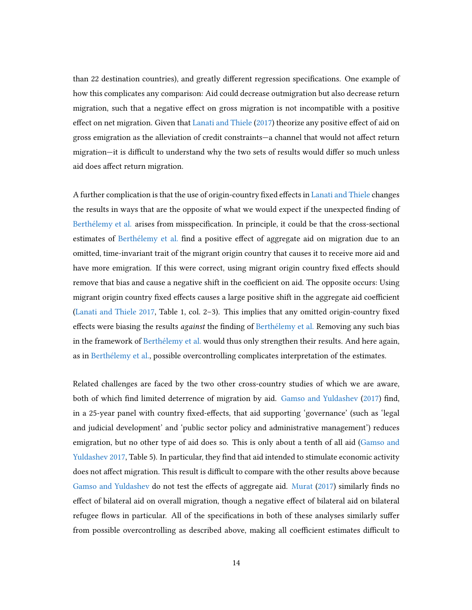than 22 destination countries), and greatly different regression specifications. One example of how this complicates any comparison: Aid could decrease outmigration but also decrease return migration, such that a negative effect on gross migration is not incompatible with a positive effect on net migration. Given that [Lanati and Thiele](#page-23-13)  $(2017)$  theorize any positive effect of aid on gross emigration as the alleviation of credit constraints—a channel that would not affect return migration—it is difficult to understand why the two sets of results would differ so much unless aid does affect return migration.

A further complication is that the use of origin-country fixed effects in [Lanati and Thiele](#page-23-13) changes the results in ways that are the opposite of what we would expect if the unexpected nding of [Berthélemy et al.](#page-21-3) arises from misspecification. In principle, it could be that the cross-sectional estimates of [Berthélemy et al.](#page-21-3) find a positive effect of aggregate aid on migration due to an omitted, time-invariant trait of the migrant origin country that causes it to receive more aid and have more emigration. If this were correct, using migrant origin country fixed effects should remove that bias and cause a negative shift in the coefficient on aid. The opposite occurs: Using migrant origin country fixed effects causes a large positive shift in the aggregate aid coefficient [\(Lanati and Thiele](#page-23-13)  $2017$ , Table 1, col.  $2-3$ ). This implies that any omitted origin-country fixed effects were biasing the results *against* the finding of [Berthélemy et al.](#page-21-3) Removing any such bias in the framework of [Berthélemy et al.](#page-21-3) would thus only strengthen their results. And here again, as in [Berthélemy et al.,](#page-21-3) possible overcontrolling complicates interpretation of the estimates.

Related challenges are faced by the two other cross-country studies of which we are aware, both of which find limited deterrence of migration by aid. [Gamso and Yuldashev](#page-22-11) [\(2017\)](#page-22-11) find, in a 25-year panel with country fixed-effects, that aid supporting 'governance' (such as 'legal and judicial development' and 'public sector policy and administrative management') reduces emigration, but no other type of aid does so. This is only about a tenth of all aid [\(Gamso and](#page-22-11) [Yuldashev](#page-22-11) [2017,](#page-22-11) Table 5). In particular, they find that aid intended to stimulate economic activity does not affect migration. This result is difficult to compare with the other results above because [Gamso and Yuldashev](#page-22-11) do not test the effects of aggregate aid. [Murat](#page-23-14) [\(2017\)](#page-23-14) similarly finds no effect of bilateral aid on overall migration, though a negative effect of bilateral aid on bilateral refugee flows in particular. All of the specifications in both of these analyses similarly suffer from possible overcontrolling as described above, making all coefficient estimates difficult to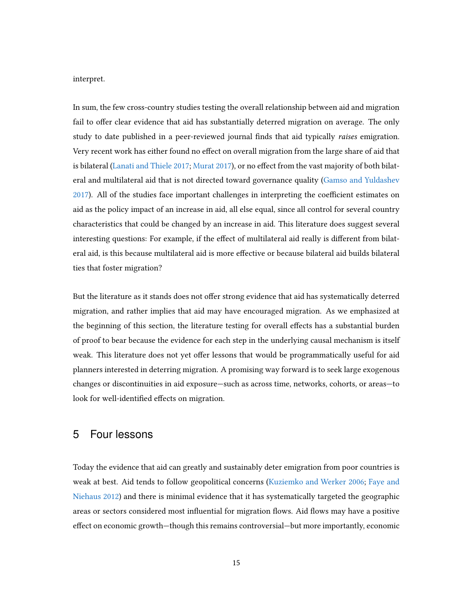interpret.

In sum, the few cross-country studies testing the overall relationship between aid and migration fail to offer clear evidence that aid has substantially deterred migration on average. The only study to date published in a peer-reviewed journal finds that aid typically *raises* emigration. Very recent work has either found no effect on overall migration from the large share of aid that is bilateral [\(Lanati and Thiele](#page-23-13) [2017;](#page-23-13) [Murat](#page-23-14) [2017\)](#page-23-14), or no effect from the vast majority of both bilateral and multilateral aid that is not directed toward governance quality [\(Gamso and Yuldashev](#page-22-11) [2017\)](#page-22-11). All of the studies face important challenges in interpreting the coefficient estimates on aid as the policy impact of an increase in aid, all else equal, since all control for several country characteristics that could be changed by an increase in aid. This literature does suggest several interesting questions: For example, if the effect of multilateral aid really is different from bilateral aid, is this because multilateral aid is more effective or because bilateral aid builds bilateral ties that foster migration?

But the literature as it stands does not offer strong evidence that aid has systematically deterred migration, and rather implies that aid may have encouraged migration. As we emphasized at the beginning of this section, the literature testing for overall effects has a substantial burden of proof to bear because the evidence for each step in the underlying causal mechanism is itself weak. This literature does not yet offer lessons that would be programmatically useful for aid planners interested in deterring migration. A promising way forward is to seek large exogenous changes or discontinuities in aid exposure—such as across time, networks, cohorts, or areas—to look for well-identified effects on migration.

### 5 Four lessons

Today the evidence that aid can greatly and sustainably deter emigration from poor countries is weak at best. Aid tends to follow geopolitical concerns [\(Kuziemko and Werker](#page-23-15) [2006;](#page-23-15) [Faye and](#page-22-12) [Niehaus](#page-22-12) [2012\)](#page-22-12) and there is minimal evidence that it has systematically targeted the geographic areas or sectors considered most influential for migration flows. Aid flows may have a positive effect on economic growth—though this remains controversial—but more importantly, economic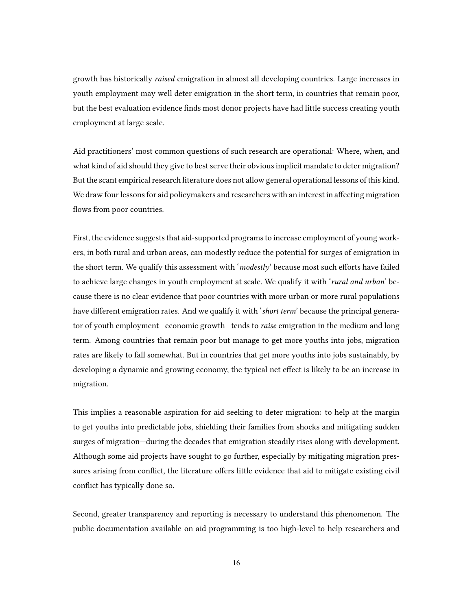growth has historically raised emigration in almost all developing countries. Large increases in youth employment may well deter emigration in the short term, in countries that remain poor, but the best evaluation evidence finds most donor projects have had little success creating youth employment at large scale.

Aid practitioners' most common questions of such research are operational: Where, when, and what kind of aid should they give to best serve their obvious implicit mandate to deter migration? But the scant empirical research literature does not allow general operational lessons of this kind. We draw four lessons for aid policymakers and researchers with an interest in affecting migration flows from poor countries.

First, the evidence suggests that aid-supported programs to increase employment of young workers, in both rural and urban areas, can modestly reduce the potential for surges of emigration in the short term. We qualify this assessment with 'modestly' because most such efforts have failed to achieve large changes in youth employment at scale. We qualify it with 'rural and urban' because there is no clear evidence that poor countries with more urban or more rural populations have different emigration rates. And we qualify it with 'short term' because the principal generator of youth employment—economic growth—tends to raise emigration in the medium and long term. Among countries that remain poor but manage to get more youths into jobs, migration rates are likely to fall somewhat. But in countries that get more youths into jobs sustainably, by developing a dynamic and growing economy, the typical net effect is likely to be an increase in migration.

This implies a reasonable aspiration for aid seeking to deter migration: to help at the margin to get youths into predictable jobs, shielding their families from shocks and mitigating sudden surges of migration—during the decades that emigration steadily rises along with development. Although some aid projects have sought to go further, especially by mitigating migration pressures arising from conflict, the literature offers little evidence that aid to mitigate existing civil conflict has typically done so.

Second, greater transparency and reporting is necessary to understand this phenomenon. The public documentation available on aid programming is too high-level to help researchers and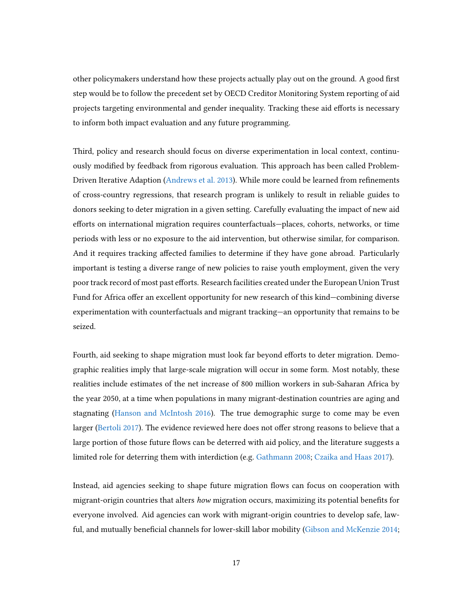other policymakers understand how these projects actually play out on the ground. A good first step would be to follow the precedent set by OECD Creditor Monitoring System reporting of aid projects targeting environmental and gender inequality. Tracking these aid efforts is necessary to inform both impact evaluation and any future programming.

Third, policy and research should focus on diverse experimentation in local context, continuously modied by feedback from rigorous evaluation. This approach has been called Problem-Driven Iterative Adaption [\(Andrews et al.](#page-21-15) [2013\)](#page-21-15). While more could be learned from refinements of cross-country regressions, that research program is unlikely to result in reliable guides to donors seeking to deter migration in a given setting. Carefully evaluating the impact of new aid efforts on international migration requires counterfactuals—places, cohorts, networks, or time periods with less or no exposure to the aid intervention, but otherwise similar, for comparison. And it requires tracking affected families to determine if they have gone abroad. Particularly important is testing a diverse range of new policies to raise youth employment, given the very poor track record of most past efforts. Research facilities created under the European Union Trust Fund for Africa offer an excellent opportunity for new research of this kind—combining diverse experimentation with counterfactuals and migrant tracking—an opportunity that remains to be seized.

Fourth, aid seeking to shape migration must look far beyond efforts to deter migration. Demographic realities imply that large-scale migration will occur in some form. Most notably, these realities include estimates of the net increase of 800 million workers in sub-Saharan Africa by the year 2050, at a time when populations in many migrant-destination countries are aging and stagnating [\(Hanson and McIntosh](#page-23-16) [2016\)](#page-23-16). The true demographic surge to come may be even larger [\(Bertoli](#page-21-16) [2017\)](#page-21-16). The evidence reviewed here does not offer strong reasons to believe that a large portion of those future flows can be deterred with aid policy, and the literature suggests a limited role for deterring them with interdiction (e.g. [Gathmann](#page-22-13) [2008;](#page-22-13) [Czaika and Haas](#page-22-14) [2017\)](#page-22-14).

Instead, aid agencies seeking to shape future migration flows can focus on cooperation with migrant-origin countries that alters how migration occurs, maximizing its potential benefits for everyone involved. Aid agencies can work with migrant-origin countries to develop safe, law-ful, and mutually beneficial channels for lower-skill labor mobility [\(Gibson and McKenzie](#page-22-9) [2014;](#page-22-9)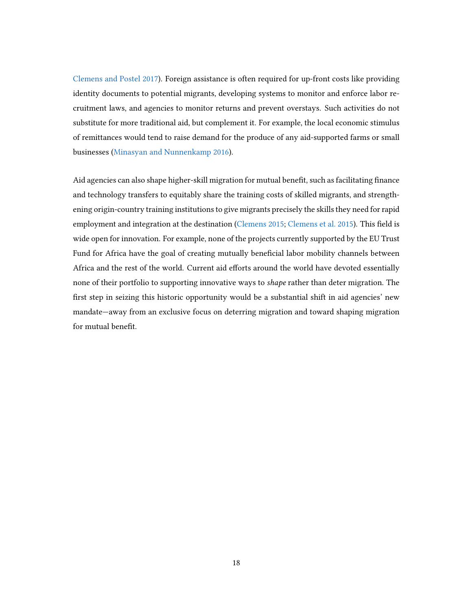[Clemens and Postel](#page-22-15) [2017\)](#page-22-15). Foreign assistance is often required for up-front costs like providing identity documents to potential migrants, developing systems to monitor and enforce labor recruitment laws, and agencies to monitor returns and prevent overstays. Such activities do not substitute for more traditional aid, but complement it. For example, the local economic stimulus of remittances would tend to raise demand for the produce of any aid-supported farms or small businesses [\(Minasyan and Nunnenkamp](#page-23-17) [2016\)](#page-23-17).

Aid agencies can also shape higher-skill migration for mutual benefit, such as facilitating finance and technology transfers to equitably share the training costs of skilled migrants, and strengthening origin-country training institutions to give migrants precisely the skills they need for rapid employment and integration at the destination [\(Clemens](#page-22-16) [2015;](#page-22-16) [Clemens et al.](#page-22-17) [2015\)](#page-22-17). This field is wide open for innovation. For example, none of the projects currently supported by the EU Trust Fund for Africa have the goal of creating mutually beneficial labor mobility channels between Africa and the rest of the world. Current aid efforts around the world have devoted essentially none of their portfolio to supporting innovative ways to shape rather than deter migration. The first step in seizing this historic opportunity would be a substantial shift in aid agencies' new mandate—away from an exclusive focus on deterring migration and toward shaping migration for mutual benefit.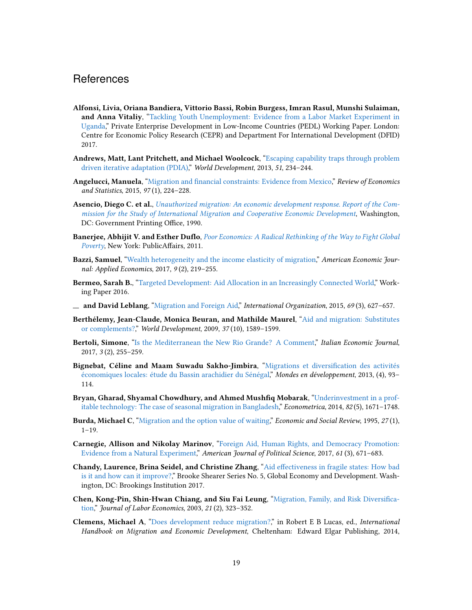#### **References**

- <span id="page-21-5"></span>Alfonsi, Livia, Oriana Bandiera, Vittorio Bassi, Robin Burgess, Imran Rasul, Munshi Sulaiman, and Anna Vitaliy, ["Tackling Youth Unemployment: Evidence from a Labor Market Experiment in](http://pedl.cepr.org/content/tackling-youth-unemployment-evidence-labor-market-experiment-uganda) [Uganda,"](http://pedl.cepr.org/content/tackling-youth-unemployment-evidence-labor-market-experiment-uganda) Private Enterprise Development in Low-Income Countries (PEDL) Working Paper. London: Centre for Economic Policy Research (CEPR) and Department For International Development (DFID) 2017.
- <span id="page-21-15"></span>Andrews, Matt, Lant Pritchett, and Michael Woolcock, ["Escaping capability traps through problem](http://dx.doi.org/10.1016/j.worlddev.2013.05.011) [driven iterative adaptation \(PDIA\),](http://dx.doi.org/10.1016/j.worlddev.2013.05.011)" World Development, 2013, 51, 234-244.
- <span id="page-21-10"></span>Angelucci, Manuela, "Migration and financial constraints: Evidence from Mexico," Review of Economics and Statistics, 2015, 97 (1), 224–228.
- <span id="page-21-0"></span>Asencio, Diego C. et al., [Unauthorized migration: An economic development response. Report of the Com](https://hdl.handle.net/2027/mdp.39015018864796?urlappend=%3Bseq=3)[mission for the Study of International Migration and Cooperative Economic Development](https://hdl.handle.net/2027/mdp.39015018864796?urlappend=%3Bseq=3), Washington, DC: Government Printing Office, 1990.
- <span id="page-21-8"></span>Banerjee, Abhijit V. and Esther Duflo, [Poor Economics: A Radical Rethinking of the Way to Fight Global](http://www.worldcat.org/oclc/317925786) [Poverty](http://www.worldcat.org/oclc/317925786), New York: PublicAffairs, 2011.
- <span id="page-21-11"></span>**Bazzi, Samuel**, ["Wealth heterogeneity and the income elasticity of migration,"](http://dx.doi.org/10.1257/app.20150548) American Economic Journal: Applied Economics, 2017, 9 (2), 219–255.
- <span id="page-21-2"></span>Bermeo, Sarah B., ["Targeted Development: Aid Allocation in an Increasingly Connected World,](https://papers.ssrn.com/sol3/papers.cfm?abstract_id=2683664)" Working Paper 2016.
- <span id="page-21-1"></span> $-$  and David Leblang, ["Migration and Foreign Aid,"](http://dx.doi.org/10.1017/S0020818315000119) International Organization, 2015, 69(3), 627-657.
- <span id="page-21-3"></span>Berthélemy, Jean-Claude, Monica Beuran, and Mathilde Maurel, ["Aid and migration: Substitutes](http://dx.doi.org/10.1016/j.worlddev.2009.02.002) [or complements?,](http://dx.doi.org/10.1016/j.worlddev.2009.02.002)" World Development, 2009, 37 (10), 1589–1599.
- <span id="page-21-16"></span>Bertoli, Simone, ["Is the Mediterranean the New Rio Grande? A Comment,](http://dx.doi.org/10.1007/s40797-017-0051-5)" Italian Economic Journal, 2017, 3 (2), 255–259.
- <span id="page-21-13"></span>Bignebat, Céline and Maam Suwadu Sakho-Jimbira, "Migrations et diversification des activités [économiques locales: étude du Bassin arachidier du Sénégal,"](http://dx.doi.org/10.3917/med.164.0093) Mondes en développement, 2013, (4), 93– 114.
- <span id="page-21-14"></span>Bryan, Gharad, Shyamal Chowdhury, and Ahmed Mushfiq Mobarak, ["Underinvestment in a prof](http://dx.doi.org/10.3982/ECTA10489)[itable technology: The case of seasonal migration in Bangladesh,"](http://dx.doi.org/10.3982/ECTA10489) Econometrica, 2014, 82 (5), 1671–1748.
- <span id="page-21-9"></span>Burda, Michael C, ["Migration and the option value of waiting,"](https://search.proquest.com/openview/2d56323846638fb334b41022ea4c38cf/1?pq-origsite=gscholar&cbl=1817620) Economic and Social Review, 1995, 27 (1),  $1 - 19$ .
- <span id="page-21-6"></span>Carnegie, Allison and Nikolay Marinov, ["Foreign Aid, Human Rights, and Democracy Promotion:](http://dx.doi.org/10.1111/ajps.12289) [Evidence from a Natural Experiment,"](http://dx.doi.org/10.1111/ajps.12289) American Journal of Political Science, 2017, 61(3), 671-683.
- <span id="page-21-7"></span>Chandy, Laurence, Brina Seidel, and Christine Zhang, "Aid effectiveness in fragile states: How bad [is it and how can it improve?,"](https://www.brookings.edu/research/aid-effectiveness-in-fragile-states/) Brooke Shearer Series No. 5, Global Economy and Development. Washington, DC: Brookings Institution 2017.
- <span id="page-21-12"></span>Chen, Kong-Pin, Shin-Hwan Chiang, and Siu Fai Leung, "Migration, Family, and Risk Diversifica[tion,"](http://www.journals.uchicago.edu/cgi-bin/resolve?JOLE210205) Journal of Labor Economics, 2003, 21 (2), 323–352.
- <span id="page-21-4"></span>Clemens, Michael A, ["Does development reduce migration?,](http://dx.doi.org/10.4337/9781782548072.00010)" in Robert E B Lucas, ed., International Handbook on Migration and Economic Development, Cheltenham: Edward Elgar Publishing, 2014,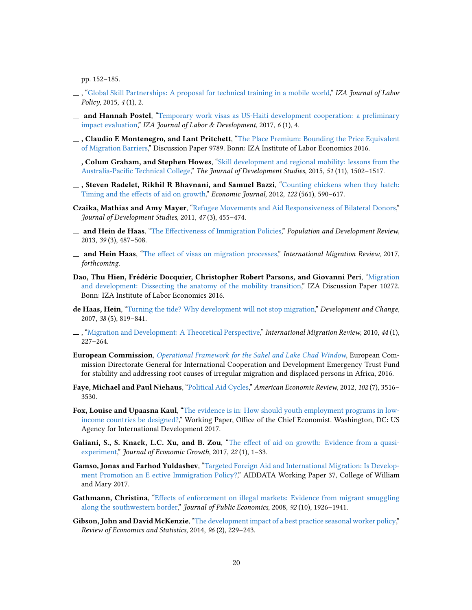pp. 152–185.

- <span id="page-22-16"></span>, ["Global Skill Partnerships: A proposal for technical training in a mobile world,"](http://dx.doi.org/10.1186/s40173-014-0028-z) IZA Journal of Labor Policy, 2015, 4 (1), 2.
- <span id="page-22-15"></span> $-$  and Hannah Postel, ["Temporary work visas as US-Haiti development cooperation: a preliminary](http://dx.doi.org/10.1186/s40175-016-0070-x) [impact evaluation,](http://dx.doi.org/10.1186/s40175-016-0070-x)" IZA Journal of Labor & Development, 2017, 6 (1), 4.
- <span id="page-22-8"></span> $\Box$ , Claudio E Montenegro, and Lant Pritchett, ["The Place Premium: Bounding the Price Equivalent](http://legacy.iza.org/en/webcontent/publications/papers/viewAbstract?dp_id=9789) [of Migration Barriers,"](http://legacy.iza.org/en/webcontent/publications/papers/viewAbstract?dp_id=9789) Discussion Paper 9789. Bonn: IZA Institute of Labor Economics 2016.
- <span id="page-22-17"></span> $\Box$ , Colum Graham, and Stephen Howes, ["Skill development and regional mobility: lessons from the](http://dx.doi.org/10.1080/00220388.2015.1028537) Australia-Pacific Technical College," The Journal of Development Studies, 2015, 51 (11), 1502-1517.
- <span id="page-22-4"></span>, Steven Radelet, Rikhil R Bhavnani, and Samuel Bazzi, ["Counting chickens when they hatch:](http://dx.doi.org/10.1111/j.1468-0297.2011.02482.x) Timing and the effects of aid on growth," Economic Journal, 2012, 122 (561), 590-617.
- <span id="page-22-2"></span>Czaika, Mathias and Amy Mayer, ["Refugee Movements and Aid Responsiveness of Bilateral Donors,"](http://dx.doi.org/10.1080/00220388.2010.492855) Journal of Development Studies, 2011, 47 (3), 455–474.
- <span id="page-22-1"></span>\_ and Hein de Haas, "The Effectiveness of Immigration Policies," Population and Development Review, 2013, 39 (3), 487–508.
- <span id="page-22-14"></span>**and Hein Haas,** "The effect of visas on migration processes," International Migration Review, 2017, forthcoming.
- <span id="page-22-3"></span>Dao, Thu Hien, Frédéric Docquier, Christopher Robert Parsons, and Giovanni Peri, ["Migration](http://legacy.iza.org/en/webcontent/publications/papers/viewAbstract?dp_id=10272) [and development: Dissecting the anatomy of the mobility transition,"](http://legacy.iza.org/en/webcontent/publications/papers/viewAbstract?dp_id=10272) IZA Discussion Paper 10272. Bonn: IZA Institute of Labor Economics 2016.
- <span id="page-22-10"></span>de Haas, Hein, ["Turning the tide? Why development will not stop migration,"](http://dx.doi.org/10.1111/j.1467-7660.2007.00435.x) Development and Change, 2007, 38 (5), 819–841.
- <span id="page-22-7"></span> $\ldots$ , ["Migration and Development: A Theoretical Perspective,](http://dx.doi.org/10.1111/j.1747-7379.2009.00804.x)" International Migration Review, 2010, 44(1), 227–264.
- <span id="page-22-0"></span>European Commission, [Operational Framework for the Sahel and Lake Chad Window](https://ec.europa.eu/europeaid/sites/devco/files/operational_framework_and_annexes-13062016_en.pdf), European Commission Directorate General for International Cooperation and Development Emergency Trust Fund for stability and addressing root causes of irregular migration and displaced persons in Africa, 2016.
- <span id="page-22-12"></span>Faye, Michael and Paul Niehaus, ["Political Aid Cycles,"](http://dx.doi.org/10.1257/aer.102.7.3516) American Economic Review, 2012, 102 (7), 3516– 3530.
- <span id="page-22-6"></span>Fox, Louise and Upaasna Kaul, ["The evidence is in: How should youth employment programs in low](http://conference.iza.org/conference_files/GLMLICNetwork_2017/fox_l4959.pdf)[income countries be designed?,"](http://conference.iza.org/conference_files/GLMLICNetwork_2017/fox_l4959.pdf) Working Paper, Office of the Chief Economist. Washington, DC: US Agency for International Development 2017.
- <span id="page-22-5"></span>Galiani, S., S. Knack, L.C. Xu, and B. Zou, "The effect of aid on growth: Evidence from a quasi[experiment,"](http://dx.doi.org/10.1007/s10887-016-9137-4) Journal of Economic Growth, 2017, 22(1), 1-33.
- <span id="page-22-11"></span>Gamso, Jonas and Farhod Yuldashev, ["Targeted Foreign Aid and International Migration: Is Develop](http://aiddata.org/publications/targeted-foreign-aid-and-international-migration-is-development-promotion-an-effective-immigration-policy)[ment Promotion an E ective Immigration Policy?,"](http://aiddata.org/publications/targeted-foreign-aid-and-international-migration-is-development-promotion-an-effective-immigration-policy) AIDDATA Working Paper 37, College of William and Mary 2017.
- <span id="page-22-13"></span>Gathmann, Christina, "Effects of enforcement on illegal markets: Evidence from migrant smuggling [along the southwestern border,"](http://dx.doi.org/10.1016/j.jpubeco.2008.04.006) Journal of Public Economics, 2008, 92 (10), 1926-1941.
- <span id="page-22-9"></span>Gibson, John and David McKenzie, ["The development impact of a best practice seasonal worker policy,"](http://dx.doi.org/10.1162/REST_a_00383) Review of Economics and Statistics, 2014, 96 (2), 229–243.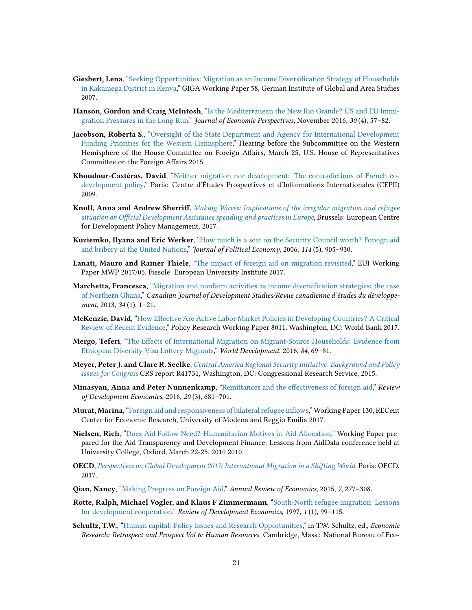- <span id="page-23-11"></span>Giesbert, Lena, "Seeking Opportunities: Migration as an Income Diversification Strategy of Households [in Kakamega District in Kenya,](http://ideas.repec.org/p/gig/wpaper/58.html)" GIGA Working Paper 58, German Institute of Global and Area Studies 2007.
- <span id="page-23-16"></span>Hanson, Gordon and Craig McIntosh, ["Is the Mediterranean the New Rio Grande? US and EU Immi](http://dx.doi.org/10.1257/jep.30.4.57)[gration Pressures in the Long Run,](http://dx.doi.org/10.1257/jep.30.4.57)" Journal of Economic Perspectives, November 2016, 30 (4), 57-82.
- <span id="page-23-1"></span>Jacobson, Roberta S., ["Oversight of the State Department and Agency for International Development](http://docs.house.gov/meetings/FA/FA07/20150324/103238/HHRG-114-FA07-Wstate-JacobsonR-20150324.pdf) [Funding Priorities for the Western Hemisphere,"](http://docs.house.gov/meetings/FA/FA07/20150324/103238/HHRG-114-FA07-Wstate-JacobsonR-20150324.pdf) Hearing before the Subcommittee on the Western Hemisphere of the House Committee on Foreign Affairs, March 25, U.S. House of Representatives Committee on the Foreign Affairs 2015.
- <span id="page-23-0"></span>Khoudour-Castéras, David, ["Neither migration nor development: The contradictions of French co](http://www.umdcipe.org/conferences/Maastricht/conf_papers/Papers/Neither_Migration_nor_Development.pdf)[development policy,"](http://www.umdcipe.org/conferences/Maastricht/conf_papers/Papers/Neither_Migration_nor_Development.pdf) Paris: Centre d'Études Prospectives et d'Informations Internationales (CEPII) 2009.
- <span id="page-23-2"></span>Knoll, Anna and Andrew Sherriff, [Making Waves: Implications of the irregular migration and refugee](http://ecdpm.org/publications/making-waves-irregular-migration-refugee-oda-europe) situation on Official Development Assistance spending and practices in Europe, Brussels: European Centre for Development Policy Management, 2017.
- <span id="page-23-15"></span>Kuziemko, Ilyana and Eric Werker, ["How much is a seat on the Security Council worth? Foreign aid](http://dx.doi.org/10.1086/507155) [and bribery at the United Nations,](http://dx.doi.org/10.1086/507155)" Journal of Political Economy, 2006, 114 (5), 905-930.
- <span id="page-23-13"></span>Lanati, Mauro and Rainer Thiele, ["The impact of foreign aid on migration revisited,](http://hdl.handle.net/1814/46124)" EUI Working Paper MWP 2017/05. Fiesole: European University Institute 2017.
- <span id="page-23-12"></span>**Marchetta, Francesca,** "Migration and nonfarm activities as income diversification strategies: the case [of Northern Ghana,"](http://dx.doi.org/10.1080/02255189.2013.755916) Canadian Journal of Development Studies/Revue canadienne d'études du développement, 2013, 34 (1), 1–21.
- <span id="page-23-7"></span>McKenzie, David, "How Effective Are Active Labor Market Policies in Developing Countries? A Critical [Review of Recent Evidence,"](http://documents.worldbank.org/curated/en/256001490191438119/How-effective-are-active-labor-market-policies-in-developing-countries-a-critical-review-of-recent-evidence) Policy Research Working Paper 8011. Washington, DC: World Bank 2017.
- <span id="page-23-9"></span>Mergo, Teferi, "The Effects of International Migration on Migrant-Source Households: Evidence from [Ethiopian Diversity-Visa Lottery Migrants,](http://dx.doi.org/10.1016/j.worlddev.2016.04.001)" World Development, 2016, 84, 69–81.
- <span id="page-23-3"></span>Meyer, Peter J. and Clare R. Seelke, [Central America Regional Security Initiative: Background and Policy](https://fas.org/sgp/crs/row/R41731.pdf) [Issues for Congress](https://fas.org/sgp/crs/row/R41731.pdf) CRS report R41731, Washington, DC: Congressional Research Service, 2015.
- <span id="page-23-17"></span>Minasyan, Anna and Peter Nunnenkamp, "Remittances and the effectiveness of foreign aid," Review of Development Economics, 2016, 20 (3), 681–701.
- <span id="page-23-14"></span>Murat, Marina, "Foreign aid and responsiveness of bilateral refugee inflows," Working Paper 130, RECent Center for Economic Research, University of Modena and Reggio Emilia 2017.
- <span id="page-23-4"></span>Nielsen, Rich, ["Does Aid Follow Need? Humanitarian Motives in Aid Allocation,"](http://s3.amazonaws.com/aiddata/Nielsen_aiddata.pdf) Working Paper prepared for the Aid Transparency and Development Finance: Lessons from AidData conference held at University College, Oxford, March 22-25, 2010 2010.
- <span id="page-23-5"></span>OECD, [Perspectives on Global Development 2017: International Migration in a Shifting World](http://doi.org/10.1787/persp_glob_dev-2017-en), Paris: OECD, 2017.
- <span id="page-23-6"></span>Qian, Nancy, ["Making Progress on Foreign Aid,](http://dx.doi.org/10.1146/annurev-economics-080614-115553)" Annual Review of Economics, 2015, 7, 277–308.
- <span id="page-23-10"></span>Rotte, Ralph, Michael Vogler, and Klaus F Zimmermann, ["South-North refugee migration: Lessons](http://dx.doi.org/10.1111/1467-9361.00008) [for development cooperation,](http://dx.doi.org/10.1111/1467-9361.00008)" Review of Development Economics, 1997, 1(1), 99-115.
- <span id="page-23-8"></span>Schultz, T.W., ["Human capital: Policy Issues and Research Opportunities,"](http://www.nber.org/chapters/c4126.pdf) in T.W. Schultz, ed., Economic Research: Retrospect and Prospect Vol 6: Human Resources, Cambridge, Mass.: National Bureau of Eco-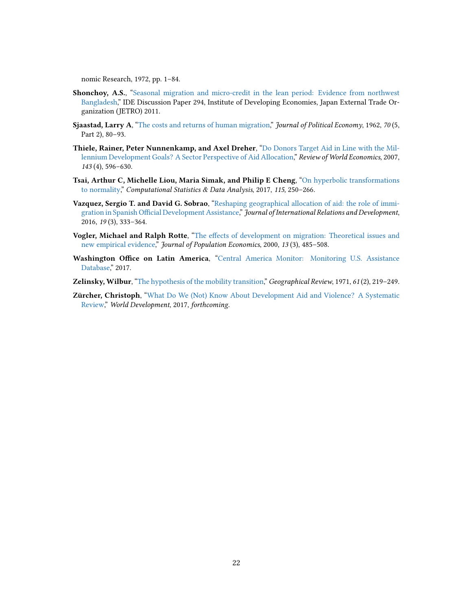<span id="page-24-8"></span>nomic Research, 1972, pp. 1–84.

- <span id="page-24-7"></span>Shonchoy, A.S., ["Seasonal migration and micro-credit in the lean period: Evidence from northwest](http://EconPapers.repec.org/RePEc:jet:dpaper:dpaper294) [Bangladesh,](http://EconPapers.repec.org/RePEc:jet:dpaper:dpaper294)" IDE Discussion Paper 294, Institute of Developing Economies, Japan External Trade Organization (JETRO) 2011.
- <span id="page-24-6"></span>Sjaastad, Larry A, ["The costs and returns of human migration,](http://dx.doi.org/10.1086/258726)" Journal of Political Economy, 1962, 70 (5, Part 2), 80–93.
- <span id="page-24-1"></span>Thiele, Rainer, Peter Nunnenkamp, and Axel Dreher, ["Do Donors Target Aid in Line with the Mil](http://dx.doi.org/10.1007/s10290-007-0124-x)[lennium Development Goals? A Sector Perspective of Aid Allocation,"](http://dx.doi.org/10.1007/s10290-007-0124-x) Review of World Economics, 2007, 143 (4), 596–630.
- <span id="page-24-9"></span>Tsai, Arthur C, Michelle Liou, Maria Simak, and Philip E Cheng, ["On hyperbolic transformations](http://dx.doi.org/10.1016/j.csda.2017.06.001) [to normality,](http://dx.doi.org/10.1016/j.csda.2017.06.001)" Computational Statistics & Data Analysis, 2017, 115, 250-266.
- <span id="page-24-0"></span>Vazquez, Sergio T. and David G. Sobrao, ["Reshaping geographical allocation of aid: the role of immi](http://dx.doi.org/10.1057/jird.2014.19)gration in Spanish Official Development Assistance," Journal of International Relations and Development, 2016, 19 (3), 333–364.
- <span id="page-24-4"></span>Vogler, Michael and Ralph Rotte, "The effects of development on migration: Theoretical issues and [new empirical evidence,](http://dx.doi.org/10.1007/s001480050148)" Journal of Population Economics, 2000, 13(3), 485-508.
- <span id="page-24-2"></span>Washington Office on Latin America, ["Central America Monitor: Monitoring U.S. Assistance](https://www.wola.org/monitoring-assistance-central-america/) [Database,"](https://www.wola.org/monitoring-assistance-central-america/) 2017.
- <span id="page-24-5"></span>Zelinsky, Wilbur, ["The hypothesis of the mobility transition,](http://dx.doi.org/10.2307/213996)" Geographical Review, 1971, 61 (2), 219–249.
- <span id="page-24-3"></span>Zürcher, Christoph, ["What Do We \(Not\) Know About Development Aid and Violence? A Systematic](http://dx.doi.org/10.1016/j.worlddev.2017.05.013) [Review,](http://dx.doi.org/10.1016/j.worlddev.2017.05.013)" World Development, 2017, forthcoming.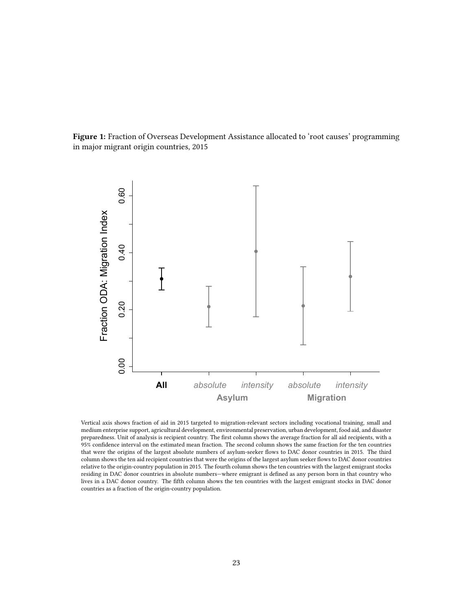<span id="page-25-0"></span>Figure 1: Fraction of Overseas Development Assistance allocated to 'root causes' programming in major migrant origin countries, 2015



Vertical axis shows fraction of aid in 2015 targeted to migration-relevant sectors including vocational training, small and medium enterprise support, agricultural development, environmental preservation, urban development, food aid, and disaster preparedness. Unit of analysis is recipient country. The first column shows the average fraction for all aid recipients, with a 95% condence interval on the estimated mean fraction. The second column shows the same fraction for the ten countries that were the origins of the largest absolute numbers of asylum-seeker flows to DAC donor countries in 2015. The third column shows the ten aid recipient countries that were the origins of the largest asylum seeker flows to DAC donor countries relative to the origin-country population in 2015. The fourth column shows the ten countries with the largest emigrant stocks residing in DAC donor countries in absolute numbers—where emigrant is defined as any person born in that country who lives in a DAC donor country. The fth column shows the ten countries with the largest emigrant stocks in DAC donor countries as a fraction of the origin-country population.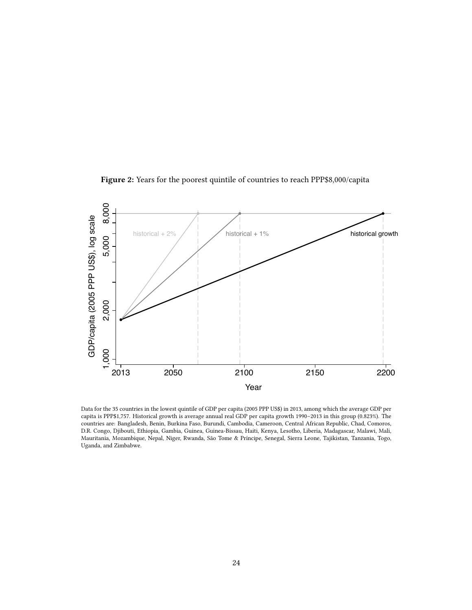

<span id="page-26-0"></span>Figure 2: Years for the poorest quintile of countries to reach PPP\$8,000/capita

Data for the 35 countries in the lowest quintile of GDP per capita (2005 PPP US\$) in 2013, among which the average GDP per capita is PPP\$1,757. Historical growth is average annual real GDP per capita growth 1990–2013 in this group (0.823%). The countries are: Bangladesh, Benin, Burkina Faso, Burundi, Cambodia, Cameroon, Central African Republic, Chad, Comoros, D.R. Congo, Djibouti, Ethiopia, Gambia, Guinea, Guinea-Bissau, Haiti, Kenya, Lesotho, Liberia, Madagascar, Malawi, Mali, Mauritania, Mozambique, Nepal, Niger, Rwanda, São Tome & Príncipe, Senegal, Sierra Leone, Tajikistan, Tanzania, Togo, Uganda, and Zimbabwe.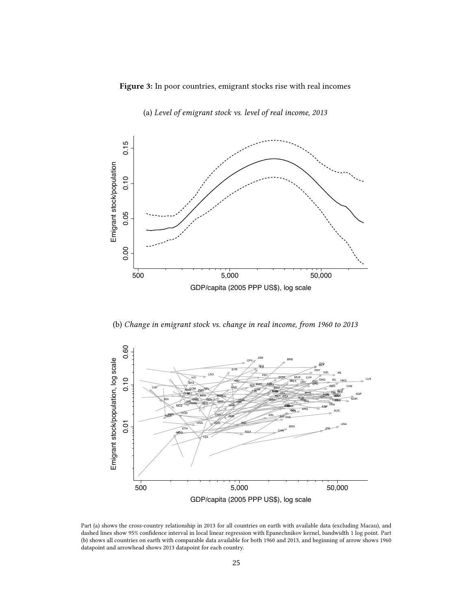<span id="page-27-0"></span>Figure 3: In poor countries, emigrant stocks rise with real incomes



(a) Level of emigrant stock vs. level of real income, 2013

(b) Change in emigrant stock vs. change in real income, from 1960 to 2013



Part (a) shows the cross-country relationship in 2013 for all countries on earth with available data (excluding Macau), and dashed lines show 95% condence interval in local linear regression with Epanechnikov kernel, bandwidth 1 log point. Part (b) shows all countries on earth with comparable data available for both 1960 and 2013, and beginning of arrow shows 1960 datapoint and arrowhead shows 2013 datapoint for each country.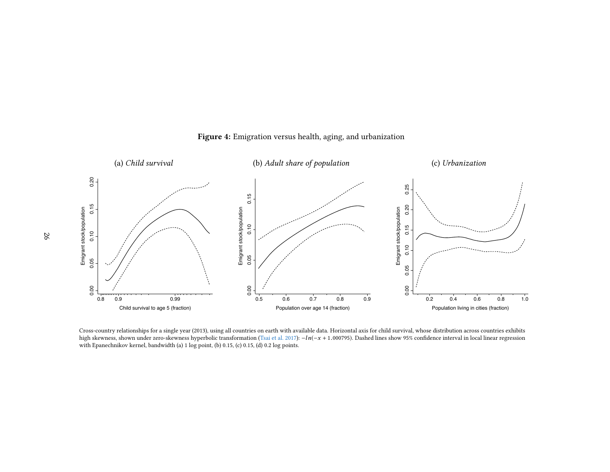

#### Figure 4: Emigration versus health, aging, and urbanization

<span id="page-28-0"></span>Cross-country relationships for <sup>a</sup> single year (2013), using all countries on earth with available data. Horizontal axis for child survival, whose distribution across countries exhibitshigh skewness, shown under zero-skewness hyperbolic transformation [\(Tsai](#page-24-8) et al. [2017\)](#page-24-8): −ln(−x + 1.000795). Dashed lines show 95% confidence interval in local linear regression with Epanechnikov kernel, bandwidth (a) 1 log point, (b) 0.15, (c) 0.15, (d) 0.2 log points.